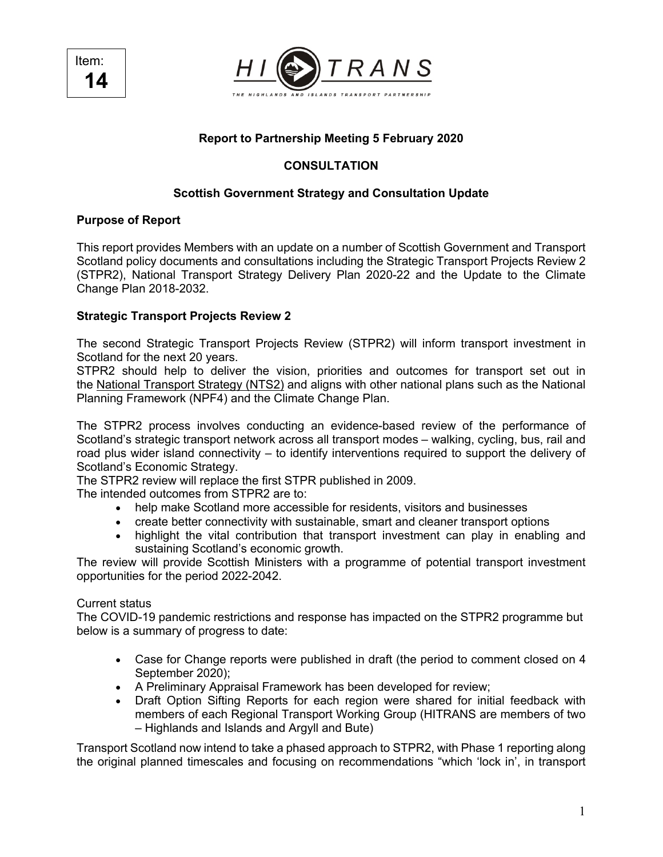Item: **14**



## **Report to Partnership Meeting 5 February 2020**

### **CONSULTATION**

#### **Scottish Government Strategy and Consultation Update**

#### **Purpose of Report**

This report provides Members with an update on a number of Scottish Government and Transport Scotland policy documents and consultations including the Strategic Transport Projects Review 2 (STPR2), National Transport Strategy Delivery Plan 2020-22 and the Update to the Climate Change Plan 2018-2032.

#### **Strategic Transport Projects Review 2**

The second Strategic Transport Projects Review (STPR2) will inform transport investment in Scotland for the next 20 years.

STPR2 should help to deliver the vision, priorities and outcomes for transport set out in the National Transport Strategy (NTS2) and aligns with other national plans such as the National Planning Framework (NPF4) and the Climate Change Plan.

The STPR2 process involves conducting an evidence-based review of the performance of Scotland's strategic transport network across all transport modes – walking, cycling, bus, rail and road plus wider island connectivity – to identify interventions required to support the delivery of Scotland's Economic Strategy.

The STPR2 review will replace the first STPR published in 2009.

The intended outcomes from STPR2 are to:

- help make Scotland more accessible for residents, visitors and businesses
- create better connectivity with sustainable, smart and cleaner transport options
- highlight the vital contribution that transport investment can play in enabling and sustaining Scotland's economic growth.

The review will provide Scottish Ministers with a programme of potential transport investment opportunities for the period 2022-2042.

#### Current status

The COVID-19 pandemic restrictions and response has impacted on the STPR2 programme but below is a summary of progress to date:

- Case for Change reports were published in draft (the period to comment closed on 4 September 2020);
- A Preliminary Appraisal Framework has been developed for review;
- Draft Option Sifting Reports for each region were shared for initial feedback with members of each Regional Transport Working Group (HITRANS are members of two – Highlands and Islands and Argyll and Bute)

Transport Scotland now intend to take a phased approach to STPR2, with Phase 1 reporting along the original planned timescales and focusing on recommendations "which 'lock in', in transport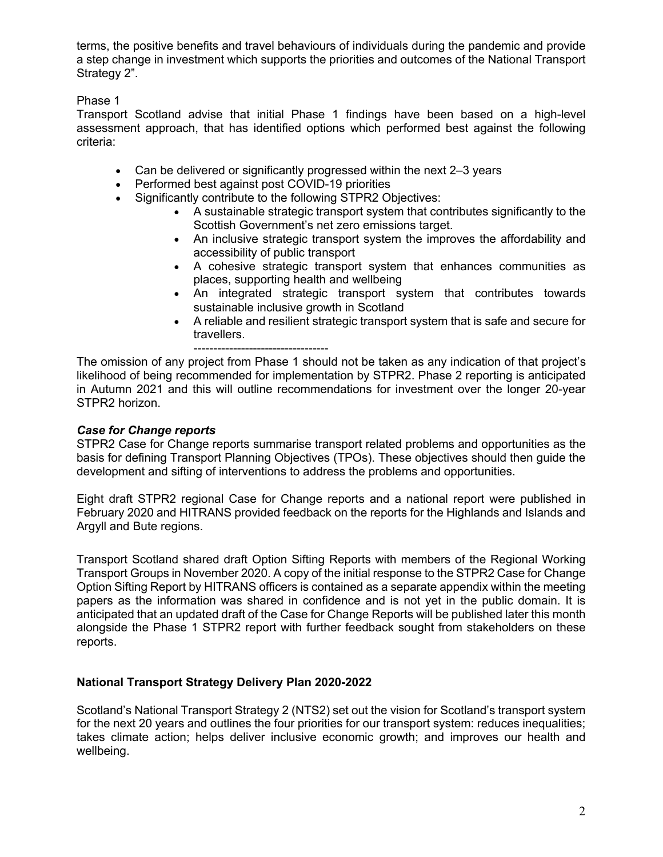terms, the positive benefits and travel behaviours of individuals during the pandemic and provide a step change in investment which supports the priorities and outcomes of the National Transport Strategy 2".

Phase 1

Transport Scotland advise that initial Phase 1 findings have been based on a high-level assessment approach, that has identified options which performed best against the following criteria:

- Can be delivered or significantly progressed within the next 2–3 years
- Performed best against post COVID-19 priorities
- Significantly contribute to the following STPR2 Objectives:
	- A sustainable strategic transport system that contributes significantly to the Scottish Government's net zero emissions target.
	- An inclusive strategic transport system the improves the affordability and accessibility of public transport
	- A cohesive strategic transport system that enhances communities as places, supporting health and wellbeing
	- An integrated strategic transport system that contributes towards sustainable inclusive growth in Scotland
	- A reliable and resilient strategic transport system that is safe and secure for travellers.

---------------------------------- The omission of any project from Phase 1 should not be taken as any indication of that project's likelihood of being recommended for implementation by STPR2. Phase 2 reporting is anticipated in Autumn 2021 and this will outline recommendations for investment over the longer 20-year STPR2 horizon.

### *Case for Change reports*

STPR2 Case for Change reports summarise transport related problems and opportunities as the basis for defining Transport Planning Objectives (TPOs). These objectives should then guide the development and sifting of interventions to address the problems and opportunities.

Eight draft STPR2 regional Case for Change reports and a national report were published in February 2020 and HITRANS provided feedback on the reports for the Highlands and Islands and Argyll and Bute regions.

Transport Scotland shared draft Option Sifting Reports with members of the Regional Working Transport Groups in November 2020. A copy of the initial response to the STPR2 Case for Change Option Sifting Report by HITRANS officers is contained as a separate appendix within the meeting papers as the information was shared in confidence and is not yet in the public domain. It is anticipated that an updated draft of the Case for Change Reports will be published later this month alongside the Phase 1 STPR2 report with further feedback sought from stakeholders on these reports.

### **National Transport Strategy Delivery Plan 2020-2022**

Scotland's National Transport Strategy 2 (NTS2) set out the vision for Scotland's transport system for the next 20 years and outlines the four priorities for our transport system: reduces inequalities; takes climate action; helps deliver inclusive economic growth; and improves our health and wellbeing.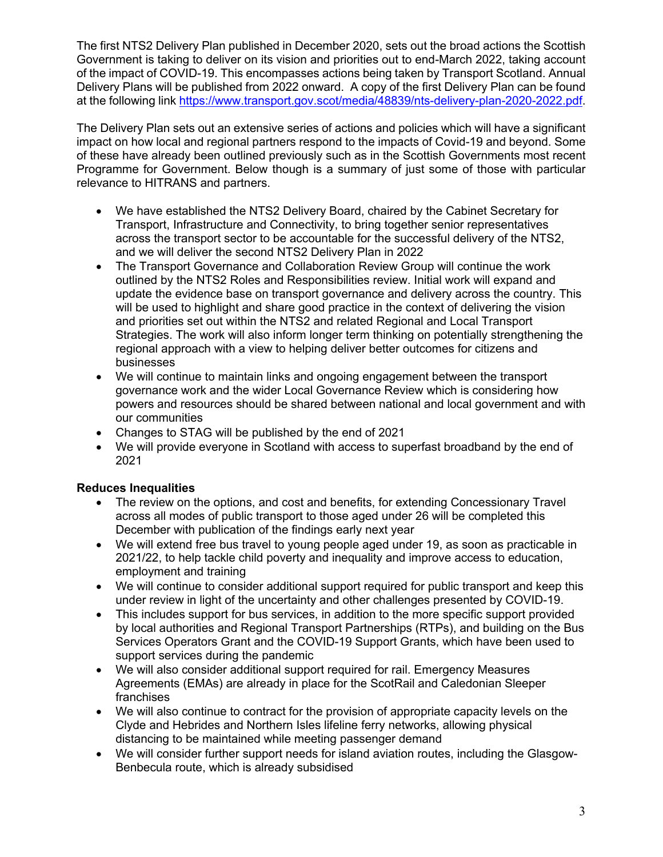The first NTS2 Delivery Plan published in December 2020, sets out the broad actions the Scottish Government is taking to deliver on its vision and priorities out to end-March 2022, taking account of the impact of COVID-19. This encompasses actions being taken by Transport Scotland. Annual Delivery Plans will be published from 2022 onward. A copy of the first Delivery Plan can be found at the following link https://www.transport.gov.scot/media/48839/nts-delivery-plan-2020-2022.pdf.

The Delivery Plan sets out an extensive series of actions and policies which will have a significant impact on how local and regional partners respond to the impacts of Covid-19 and beyond. Some of these have already been outlined previously such as in the Scottish Governments most recent Programme for Government. Below though is a summary of just some of those with particular relevance to HITRANS and partners.

- We have established the NTS2 Delivery Board, chaired by the Cabinet Secretary for Transport, Infrastructure and Connectivity, to bring together senior representatives across the transport sector to be accountable for the successful delivery of the NTS2, and we will deliver the second NTS2 Delivery Plan in 2022
- The Transport Governance and Collaboration Review Group will continue the work outlined by the NTS2 Roles and Responsibilities review. Initial work will expand and update the evidence base on transport governance and delivery across the country. This will be used to highlight and share good practice in the context of delivering the vision and priorities set out within the NTS2 and related Regional and Local Transport Strategies. The work will also inform longer term thinking on potentially strengthening the regional approach with a view to helping deliver better outcomes for citizens and businesses
- We will continue to maintain links and ongoing engagement between the transport governance work and the wider Local Governance Review which is considering how powers and resources should be shared between national and local government and with our communities
- Changes to STAG will be published by the end of 2021
- We will provide everyone in Scotland with access to superfast broadband by the end of 2021

# **Reduces Inequalities**

- The review on the options, and cost and benefits, for extending Concessionary Travel across all modes of public transport to those aged under 26 will be completed this December with publication of the findings early next year
- We will extend free bus travel to young people aged under 19, as soon as practicable in 2021/22, to help tackle child poverty and inequality and improve access to education, employment and training
- We will continue to consider additional support required for public transport and keep this under review in light of the uncertainty and other challenges presented by COVID-19.
- This includes support for bus services, in addition to the more specific support provided by local authorities and Regional Transport Partnerships (RTPs), and building on the Bus Services Operators Grant and the COVID-19 Support Grants, which have been used to support services during the pandemic
- We will also consider additional support required for rail. Emergency Measures Agreements (EMAs) are already in place for the ScotRail and Caledonian Sleeper franchises
- We will also continue to contract for the provision of appropriate capacity levels on the Clyde and Hebrides and Northern Isles lifeline ferry networks, allowing physical distancing to be maintained while meeting passenger demand
- We will consider further support needs for island aviation routes, including the Glasgow-Benbecula route, which is already subsidised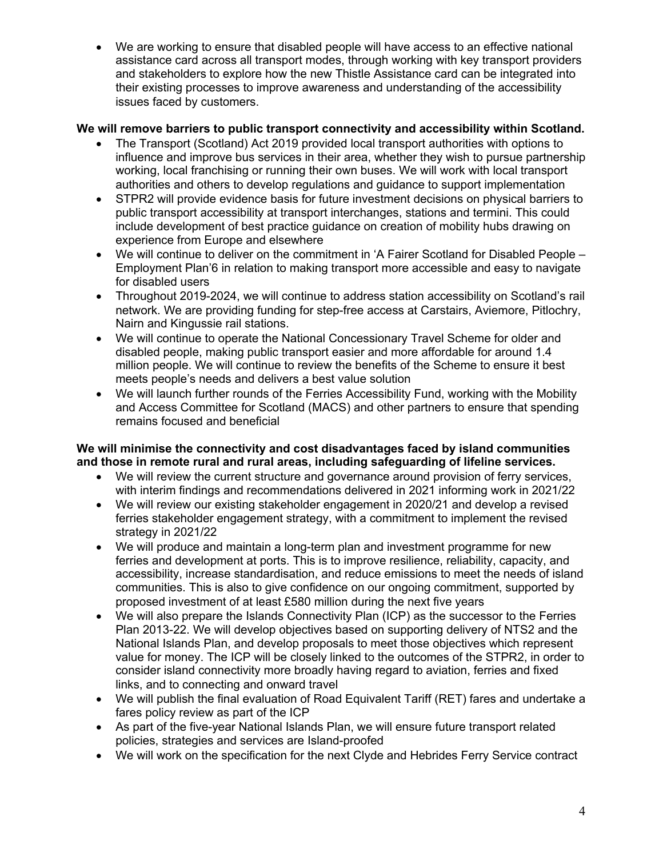• We are working to ensure that disabled people will have access to an effective national assistance card across all transport modes, through working with key transport providers and stakeholders to explore how the new Thistle Assistance card can be integrated into their existing processes to improve awareness and understanding of the accessibility issues faced by customers.

# **We will remove barriers to public transport connectivity and accessibility within Scotland.**

- The Transport (Scotland) Act 2019 provided local transport authorities with options to influence and improve bus services in their area, whether they wish to pursue partnership working, local franchising or running their own buses. We will work with local transport authorities and others to develop regulations and guidance to support implementation
- STPR2 will provide evidence basis for future investment decisions on physical barriers to public transport accessibility at transport interchanges, stations and termini. This could include development of best practice guidance on creation of mobility hubs drawing on experience from Europe and elsewhere
- We will continue to deliver on the commitment in 'A Fairer Scotland for Disabled People Employment Plan'6 in relation to making transport more accessible and easy to navigate for disabled users
- Throughout 2019-2024, we will continue to address station accessibility on Scotland's rail network. We are providing funding for step-free access at Carstairs, Aviemore, Pitlochry, Nairn and Kingussie rail stations.
- We will continue to operate the National Concessionary Travel Scheme for older and disabled people, making public transport easier and more affordable for around 1.4 million people. We will continue to review the benefits of the Scheme to ensure it best meets people's needs and delivers a best value solution
- We will launch further rounds of the Ferries Accessibility Fund, working with the Mobility and Access Committee for Scotland (MACS) and other partners to ensure that spending remains focused and beneficial

### **We will minimise the connectivity and cost disadvantages faced by island communities and those in remote rural and rural areas, including safeguarding of lifeline services.**

- We will review the current structure and governance around provision of ferry services, with interim findings and recommendations delivered in 2021 informing work in 2021/22
- We will review our existing stakeholder engagement in 2020/21 and develop a revised ferries stakeholder engagement strategy, with a commitment to implement the revised strategy in 2021/22
- We will produce and maintain a long-term plan and investment programme for new ferries and development at ports. This is to improve resilience, reliability, capacity, and accessibility, increase standardisation, and reduce emissions to meet the needs of island communities. This is also to give confidence on our ongoing commitment, supported by proposed investment of at least £580 million during the next five years
- We will also prepare the Islands Connectivity Plan (ICP) as the successor to the Ferries Plan 2013-22. We will develop objectives based on supporting delivery of NTS2 and the National Islands Plan, and develop proposals to meet those objectives which represent value for money. The ICP will be closely linked to the outcomes of the STPR2, in order to consider island connectivity more broadly having regard to aviation, ferries and fixed links, and to connecting and onward travel
- We will publish the final evaluation of Road Equivalent Tariff (RET) fares and undertake a fares policy review as part of the ICP
- As part of the five-year National Islands Plan, we will ensure future transport related policies, strategies and services are Island-proofed
- We will work on the specification for the next Clyde and Hebrides Ferry Service contract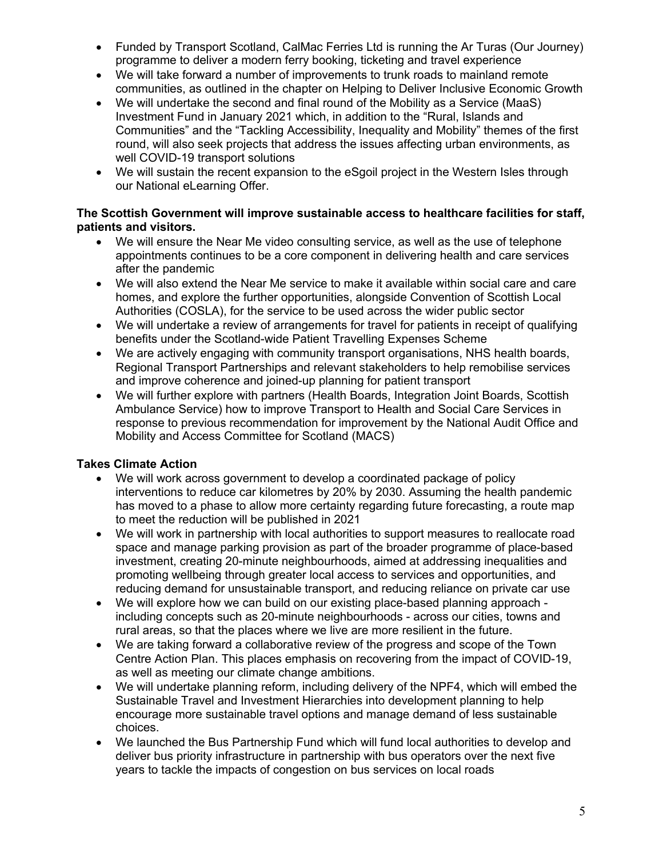- Funded by Transport Scotland, CalMac Ferries Ltd is running the Ar Turas (Our Journey) programme to deliver a modern ferry booking, ticketing and travel experience
- We will take forward a number of improvements to trunk roads to mainland remote communities, as outlined in the chapter on Helping to Deliver Inclusive Economic Growth
- We will undertake the second and final round of the Mobility as a Service (MaaS) Investment Fund in January 2021 which, in addition to the "Rural, Islands and Communities" and the "Tackling Accessibility, Inequality and Mobility" themes of the first round, will also seek projects that address the issues affecting urban environments, as well COVID-19 transport solutions
- We will sustain the recent expansion to the eSgoil project in the Western Isles through our National eLearning Offer.

### **The Scottish Government will improve sustainable access to healthcare facilities for staff, patients and visitors.**

- We will ensure the Near Me video consulting service, as well as the use of telephone appointments continues to be a core component in delivering health and care services after the pandemic
- We will also extend the Near Me service to make it available within social care and care homes, and explore the further opportunities, alongside Convention of Scottish Local Authorities (COSLA), for the service to be used across the wider public sector
- We will undertake a review of arrangements for travel for patients in receipt of qualifying benefits under the Scotland-wide Patient Travelling Expenses Scheme
- We are actively engaging with community transport organisations, NHS health boards, Regional Transport Partnerships and relevant stakeholders to help remobilise services and improve coherence and joined-up planning for patient transport
- We will further explore with partners (Health Boards, Integration Joint Boards, Scottish Ambulance Service) how to improve Transport to Health and Social Care Services in response to previous recommendation for improvement by the National Audit Office and Mobility and Access Committee for Scotland (MACS)

# **Takes Climate Action**

- We will work across government to develop a coordinated package of policy interventions to reduce car kilometres by 20% by 2030. Assuming the health pandemic has moved to a phase to allow more certainty regarding future forecasting, a route map to meet the reduction will be published in 2021
- We will work in partnership with local authorities to support measures to reallocate road space and manage parking provision as part of the broader programme of place-based investment, creating 20-minute neighbourhoods, aimed at addressing inequalities and promoting wellbeing through greater local access to services and opportunities, and reducing demand for unsustainable transport, and reducing reliance on private car use
- We will explore how we can build on our existing place-based planning approach including concepts such as 20-minute neighbourhoods - across our cities, towns and rural areas, so that the places where we live are more resilient in the future.
- We are taking forward a collaborative review of the progress and scope of the Town Centre Action Plan. This places emphasis on recovering from the impact of COVID-19, as well as meeting our climate change ambitions.
- We will undertake planning reform, including delivery of the NPF4, which will embed the Sustainable Travel and Investment Hierarchies into development planning to help encourage more sustainable travel options and manage demand of less sustainable choices.
- We launched the Bus Partnership Fund which will fund local authorities to develop and deliver bus priority infrastructure in partnership with bus operators over the next five years to tackle the impacts of congestion on bus services on local roads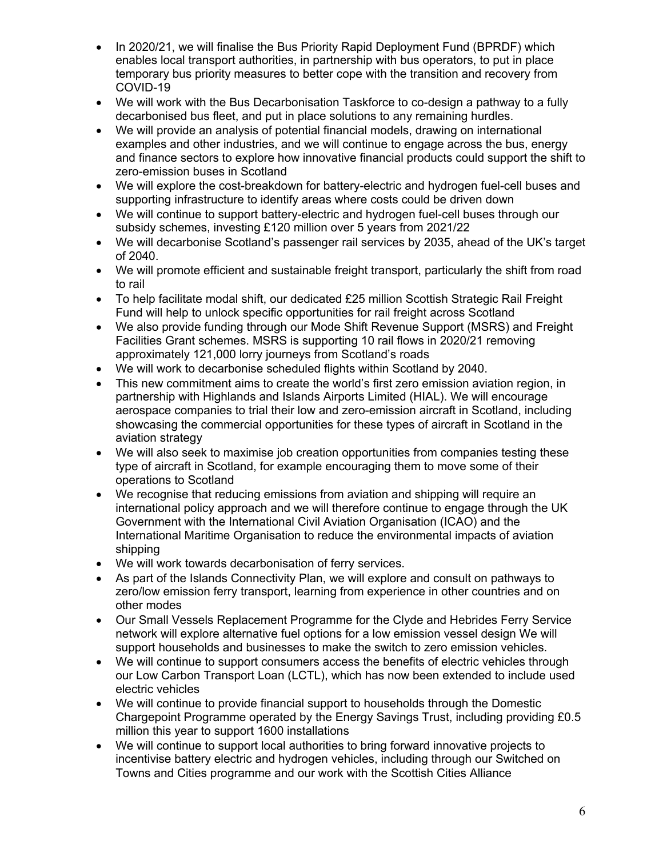- In 2020/21, we will finalise the Bus Priority Rapid Deployment Fund (BPRDF) which enables local transport authorities, in partnership with bus operators, to put in place temporary bus priority measures to better cope with the transition and recovery from COVID-19
- We will work with the Bus Decarbonisation Taskforce to co-design a pathway to a fully decarbonised bus fleet, and put in place solutions to any remaining hurdles.
- We will provide an analysis of potential financial models, drawing on international examples and other industries, and we will continue to engage across the bus, energy and finance sectors to explore how innovative financial products could support the shift to zero-emission buses in Scotland
- We will explore the cost-breakdown for battery-electric and hydrogen fuel-cell buses and supporting infrastructure to identify areas where costs could be driven down
- We will continue to support battery-electric and hydrogen fuel-cell buses through our subsidy schemes, investing £120 million over 5 years from 2021/22
- We will decarbonise Scotland's passenger rail services by 2035, ahead of the UK's target of 2040.
- We will promote efficient and sustainable freight transport, particularly the shift from road to rail
- To help facilitate modal shift, our dedicated £25 million Scottish Strategic Rail Freight Fund will help to unlock specific opportunities for rail freight across Scotland
- We also provide funding through our Mode Shift Revenue Support (MSRS) and Freight Facilities Grant schemes. MSRS is supporting 10 rail flows in 2020/21 removing approximately 121,000 lorry journeys from Scotland's roads
- We will work to decarbonise scheduled flights within Scotland by 2040.
- This new commitment aims to create the world's first zero emission aviation region, in partnership with Highlands and Islands Airports Limited (HIAL). We will encourage aerospace companies to trial their low and zero-emission aircraft in Scotland, including showcasing the commercial opportunities for these types of aircraft in Scotland in the aviation strategy
- We will also seek to maximise job creation opportunities from companies testing these type of aircraft in Scotland, for example encouraging them to move some of their operations to Scotland
- We recognise that reducing emissions from aviation and shipping will require an international policy approach and we will therefore continue to engage through the UK Government with the International Civil Aviation Organisation (ICAO) and the International Maritime Organisation to reduce the environmental impacts of aviation shipping
- We will work towards decarbonisation of ferry services.
- As part of the Islands Connectivity Plan, we will explore and consult on pathways to zero/low emission ferry transport, learning from experience in other countries and on other modes
- Our Small Vessels Replacement Programme for the Clyde and Hebrides Ferry Service network will explore alternative fuel options for a low emission vessel design We will support households and businesses to make the switch to zero emission vehicles.
- We will continue to support consumers access the benefits of electric vehicles through our Low Carbon Transport Loan (LCTL), which has now been extended to include used electric vehicles
- We will continue to provide financial support to households through the Domestic Chargepoint Programme operated by the Energy Savings Trust, including providing £0.5 million this year to support 1600 installations
- We will continue to support local authorities to bring forward innovative projects to incentivise battery electric and hydrogen vehicles, including through our Switched on Towns and Cities programme and our work with the Scottish Cities Alliance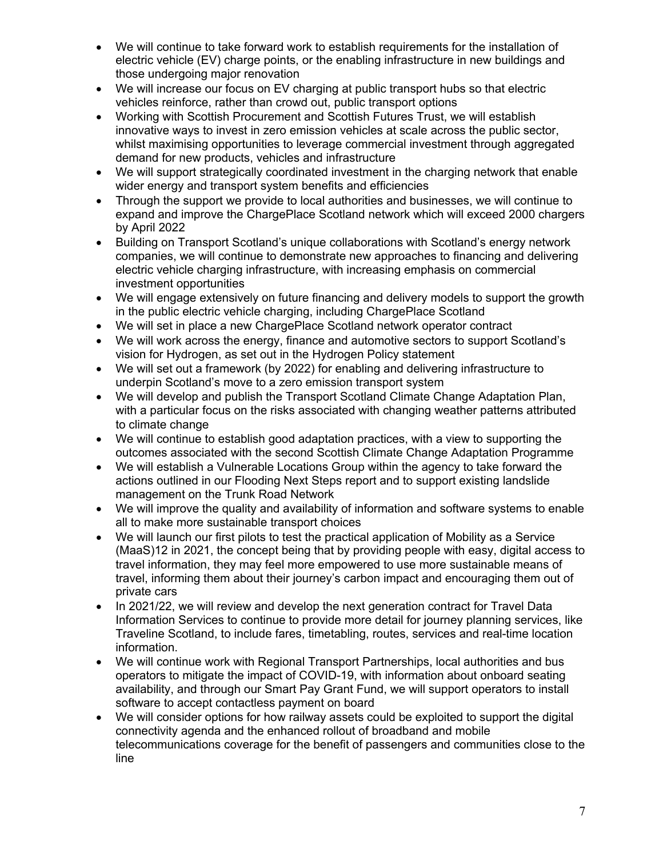- We will continue to take forward work to establish requirements for the installation of electric vehicle (EV) charge points, or the enabling infrastructure in new buildings and those undergoing major renovation
- We will increase our focus on EV charging at public transport hubs so that electric vehicles reinforce, rather than crowd out, public transport options
- Working with Scottish Procurement and Scottish Futures Trust, we will establish innovative ways to invest in zero emission vehicles at scale across the public sector, whilst maximising opportunities to leverage commercial investment through aggregated demand for new products, vehicles and infrastructure
- We will support strategically coordinated investment in the charging network that enable wider energy and transport system benefits and efficiencies
- Through the support we provide to local authorities and businesses, we will continue to expand and improve the ChargePlace Scotland network which will exceed 2000 chargers by April 2022
- Building on Transport Scotland's unique collaborations with Scotland's energy network companies, we will continue to demonstrate new approaches to financing and delivering electric vehicle charging infrastructure, with increasing emphasis on commercial investment opportunities
- We will engage extensively on future financing and delivery models to support the growth in the public electric vehicle charging, including ChargePlace Scotland
- We will set in place a new ChargePlace Scotland network operator contract
- We will work across the energy, finance and automotive sectors to support Scotland's vision for Hydrogen, as set out in the Hydrogen Policy statement
- We will set out a framework (by 2022) for enabling and delivering infrastructure to underpin Scotland's move to a zero emission transport system
- We will develop and publish the Transport Scotland Climate Change Adaptation Plan, with a particular focus on the risks associated with changing weather patterns attributed to climate change
- We will continue to establish good adaptation practices, with a view to supporting the outcomes associated with the second Scottish Climate Change Adaptation Programme
- We will establish a Vulnerable Locations Group within the agency to take forward the actions outlined in our Flooding Next Steps report and to support existing landslide management on the Trunk Road Network
- We will improve the quality and availability of information and software systems to enable all to make more sustainable transport choices
- We will launch our first pilots to test the practical application of Mobility as a Service (MaaS)12 in 2021, the concept being that by providing people with easy, digital access to travel information, they may feel more empowered to use more sustainable means of travel, informing them about their journey's carbon impact and encouraging them out of private cars
- In 2021/22, we will review and develop the next generation contract for Travel Data Information Services to continue to provide more detail for journey planning services, like Traveline Scotland, to include fares, timetabling, routes, services and real-time location information.
- We will continue work with Regional Transport Partnerships, local authorities and bus operators to mitigate the impact of COVID-19, with information about onboard seating availability, and through our Smart Pay Grant Fund, we will support operators to install software to accept contactless payment on board
- We will consider options for how railway assets could be exploited to support the digital connectivity agenda and the enhanced rollout of broadband and mobile telecommunications coverage for the benefit of passengers and communities close to the line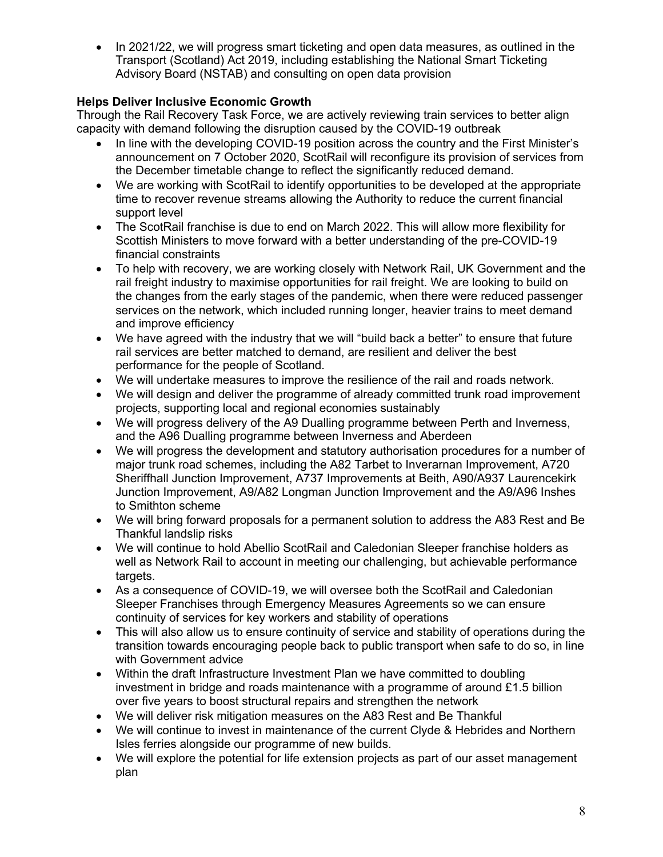• In 2021/22, we will progress smart ticketing and open data measures, as outlined in the Transport (Scotland) Act 2019, including establishing the National Smart Ticketing Advisory Board (NSTAB) and consulting on open data provision

# **Helps Deliver Inclusive Economic Growth**

Through the Rail Recovery Task Force, we are actively reviewing train services to better align capacity with demand following the disruption caused by the COVID-19 outbreak

- In line with the developing COVID-19 position across the country and the First Minister's announcement on 7 October 2020, ScotRail will reconfigure its provision of services from the December timetable change to reflect the significantly reduced demand.
- We are working with ScotRail to identify opportunities to be developed at the appropriate time to recover revenue streams allowing the Authority to reduce the current financial support level
- The ScotRail franchise is due to end on March 2022. This will allow more flexibility for Scottish Ministers to move forward with a better understanding of the pre-COVID-19 financial constraints
- To help with recovery, we are working closely with Network Rail, UK Government and the rail freight industry to maximise opportunities for rail freight. We are looking to build on the changes from the early stages of the pandemic, when there were reduced passenger services on the network, which included running longer, heavier trains to meet demand and improve efficiency
- We have agreed with the industry that we will "build back a better" to ensure that future rail services are better matched to demand, are resilient and deliver the best performance for the people of Scotland.
- We will undertake measures to improve the resilience of the rail and roads network.
- We will design and deliver the programme of already committed trunk road improvement projects, supporting local and regional economies sustainably
- We will progress delivery of the A9 Dualling programme between Perth and Inverness, and the A96 Dualling programme between Inverness and Aberdeen
- We will progress the development and statutory authorisation procedures for a number of major trunk road schemes, including the A82 Tarbet to Inverarnan Improvement, A720 Sheriffhall Junction Improvement, A737 Improvements at Beith, A90/A937 Laurencekirk Junction Improvement, A9/A82 Longman Junction Improvement and the A9/A96 Inshes to Smithton scheme
- We will bring forward proposals for a permanent solution to address the A83 Rest and Be Thankful landslip risks
- We will continue to hold Abellio ScotRail and Caledonian Sleeper franchise holders as well as Network Rail to account in meeting our challenging, but achievable performance targets.
- As a consequence of COVID-19, we will oversee both the ScotRail and Caledonian Sleeper Franchises through Emergency Measures Agreements so we can ensure continuity of services for key workers and stability of operations
- This will also allow us to ensure continuity of service and stability of operations during the transition towards encouraging people back to public transport when safe to do so, in line with Government advice
- Within the draft Infrastructure Investment Plan we have committed to doubling investment in bridge and roads maintenance with a programme of around  $£1.5$  billion over five years to boost structural repairs and strengthen the network
- We will deliver risk mitigation measures on the A83 Rest and Be Thankful
- We will continue to invest in maintenance of the current Clyde & Hebrides and Northern Isles ferries alongside our programme of new builds.
- We will explore the potential for life extension projects as part of our asset management plan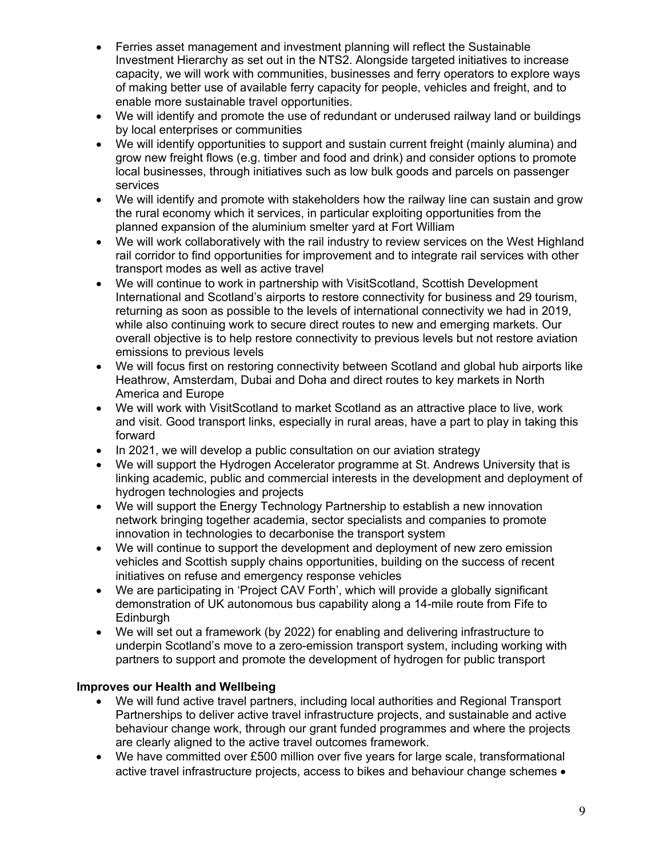- Ferries asset management and investment planning will reflect the Sustainable Investment Hierarchy as set out in the NTS2. Alongside targeted initiatives to increase capacity, we will work with communities, businesses and ferry operators to explore ways of making better use of available ferry capacity for people, vehicles and freight, and to enable more sustainable travel opportunities.
- We will identify and promote the use of redundant or underused railway land or buildings by local enterprises or communities
- We will identify opportunities to support and sustain current freight (mainly alumina) and grow new freight flows (e.g. timber and food and drink) and consider options to promote local businesses, through initiatives such as low bulk goods and parcels on passenger services
- We will identify and promote with stakeholders how the railway line can sustain and grow the rural economy which it services, in particular exploiting opportunities from the planned expansion of the aluminium smelter yard at Fort William
- We will work collaboratively with the rail industry to review services on the West Highland rail corridor to find opportunities for improvement and to integrate rail services with other transport modes as well as active travel
- We will continue to work in partnership with VisitScotland, Scottish Development International and Scotland's airports to restore connectivity for business and 29 tourism, returning as soon as possible to the levels of international connectivity we had in 2019, while also continuing work to secure direct routes to new and emerging markets. Our overall objective is to help restore connectivity to previous levels but not restore aviation emissions to previous levels
- We will focus first on restoring connectivity between Scotland and global hub airports like Heathrow, Amsterdam, Dubai and Doha and direct routes to key markets in North America and Europe
- We will work with VisitScotland to market Scotland as an attractive place to live, work and visit. Good transport links, especially in rural areas, have a part to play in taking this forward
- In 2021, we will develop a public consultation on our aviation strategy
- We will support the Hydrogen Accelerator programme at St. Andrews University that is linking academic, public and commercial interests in the development and deployment of hydrogen technologies and projects
- We will support the Energy Technology Partnership to establish a new innovation network bringing together academia, sector specialists and companies to promote innovation in technologies to decarbonise the transport system
- We will continue to support the development and deployment of new zero emission vehicles and Scottish supply chains opportunities, building on the success of recent initiatives on refuse and emergency response vehicles
- We are participating in 'Project CAV Forth', which will provide a globally significant demonstration of UK autonomous bus capability along a 14-mile route from Fife to Edinburgh
- We will set out a framework (by 2022) for enabling and delivering infrastructure to underpin Scotland's move to a zero-emission transport system, including working with partners to support and promote the development of hydrogen for public transport

# **Improves our Health and Wellbeing**

- We will fund active travel partners, including local authorities and Regional Transport Partnerships to deliver active travel infrastructure projects, and sustainable and active behaviour change work, through our grant funded programmes and where the projects are clearly aligned to the active travel outcomes framework.
- We have committed over £500 million over five years for large scale, transformational active travel infrastructure projects, access to bikes and behaviour change schemes •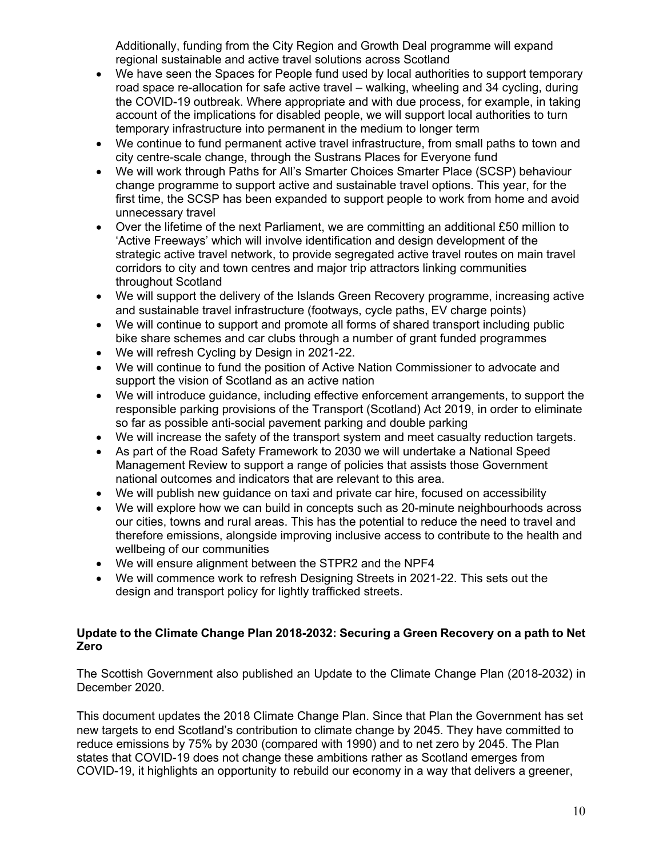Additionally, funding from the City Region and Growth Deal programme will expand regional sustainable and active travel solutions across Scotland

- We have seen the Spaces for People fund used by local authorities to support temporary road space re-allocation for safe active travel – walking, wheeling and 34 cycling, during the COVID-19 outbreak. Where appropriate and with due process, for example, in taking account of the implications for disabled people, we will support local authorities to turn temporary infrastructure into permanent in the medium to longer term
- We continue to fund permanent active travel infrastructure, from small paths to town and city centre-scale change, through the Sustrans Places for Everyone fund
- We will work through Paths for All's Smarter Choices Smarter Place (SCSP) behaviour change programme to support active and sustainable travel options. This year, for the first time, the SCSP has been expanded to support people to work from home and avoid unnecessary travel
- Over the lifetime of the next Parliament, we are committing an additional £50 million to 'Active Freeways' which will involve identification and design development of the strategic active travel network, to provide segregated active travel routes on main travel corridors to city and town centres and major trip attractors linking communities throughout Scotland
- We will support the delivery of the Islands Green Recovery programme, increasing active and sustainable travel infrastructure (footways, cycle paths, EV charge points)
- We will continue to support and promote all forms of shared transport including public bike share schemes and car clubs through a number of grant funded programmes
- We will refresh Cycling by Design in 2021-22.
- We will continue to fund the position of Active Nation Commissioner to advocate and support the vision of Scotland as an active nation
- We will introduce guidance, including effective enforcement arrangements, to support the responsible parking provisions of the Transport (Scotland) Act 2019, in order to eliminate so far as possible anti-social pavement parking and double parking
- We will increase the safety of the transport system and meet casualty reduction targets.
- As part of the Road Safety Framework to 2030 we will undertake a National Speed Management Review to support a range of policies that assists those Government national outcomes and indicators that are relevant to this area.
- We will publish new guidance on taxi and private car hire, focused on accessibility
- We will explore how we can build in concepts such as 20-minute neighbourhoods across our cities, towns and rural areas. This has the potential to reduce the need to travel and therefore emissions, alongside improving inclusive access to contribute to the health and wellbeing of our communities
- We will ensure alignment between the STPR2 and the NPF4
- We will commence work to refresh Designing Streets in 2021-22. This sets out the design and transport policy for lightly trafficked streets.

### **Update to the Climate Change Plan 2018-2032: Securing a Green Recovery on a path to Net Zero**

The Scottish Government also published an Update to the Climate Change Plan (2018-2032) in December 2020.

This document updates the 2018 Climate Change Plan. Since that Plan the Government has set new targets to end Scotland's contribution to climate change by 2045. They have committed to reduce emissions by 75% by 2030 (compared with 1990) and to net zero by 2045. The Plan states that COVID-19 does not change these ambitions rather as Scotland emerges from COVID-19, it highlights an opportunity to rebuild our economy in a way that delivers a greener,